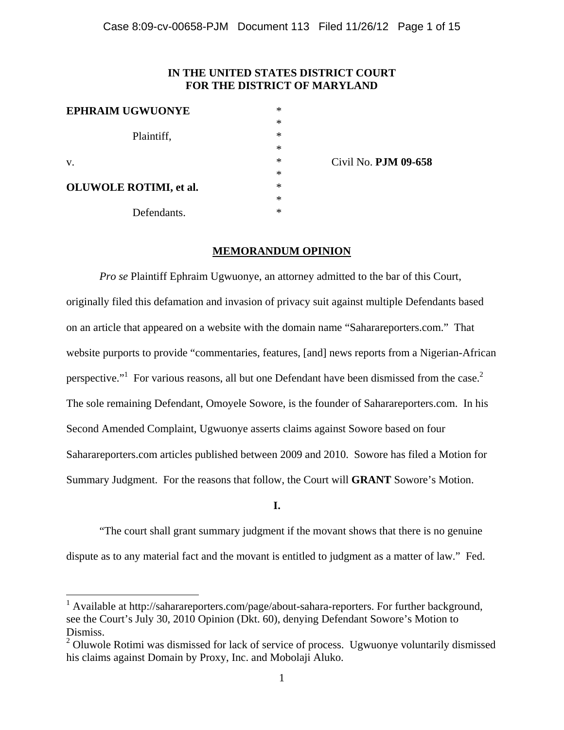# **IN THE UNITED STATES DISTRICT COURT FOR THE DISTRICT OF MARYLAND**

| <b>EPHRAIM UGWUONYE</b>        | ∗ |
|--------------------------------|---|
|                                | * |
| Plaintiff,                     | * |
|                                | * |
| V.                             | * |
|                                | * |
| <b>OLUWOLE ROTIMI</b> , et al. | * |
|                                | * |
| Defendants.                    | * |

1

Civil No. **PJM 09-658** 

## **MEMORANDUM OPINION**

*Pro se* Plaintiff Ephraim Ugwuonye, an attorney admitted to the bar of this Court, originally filed this defamation and invasion of privacy suit against multiple Defendants based on an article that appeared on a website with the domain name "Saharareporters.com." That website purports to provide "commentaries, features, [and] news reports from a Nigerian-African perspective." For various reasons, all but one Defendant have been dismissed from the case.<sup>2</sup> The sole remaining Defendant, Omoyele Sowore, is the founder of Saharareporters.com. In his Second Amended Complaint, Ugwuonye asserts claims against Sowore based on four Saharareporters.com articles published between 2009 and 2010. Sowore has filed a Motion for Summary Judgment. For the reasons that follow, the Court will **GRANT** Sowore's Motion.

#### **I.**

"The court shall grant summary judgment if the movant shows that there is no genuine dispute as to any material fact and the movant is entitled to judgment as a matter of law." Fed.

<sup>&</sup>lt;sup>1</sup> Available at http://saharareporters.com/page/about-sahara-reporters. For further background, see the Court's July 30, 2010 Opinion (Dkt. 60), denying Defendant Sowore's Motion to Dismiss.

 $2$  Oluwole Rotimi was dismissed for lack of service of process. Ugwuonye voluntarily dismissed his claims against Domain by Proxy, Inc. and Mobolaji Aluko.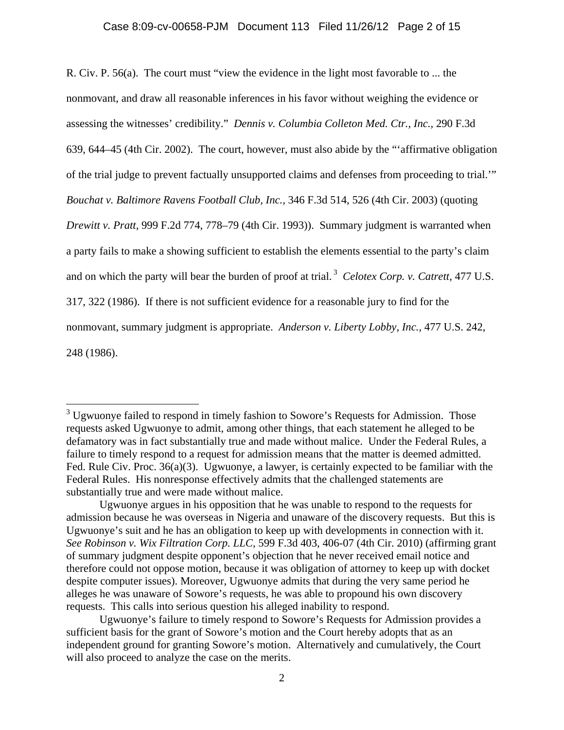R. Civ. P. 56(a). The court must "view the evidence in the light most favorable to ... the nonmovant, and draw all reasonable inferences in his favor without weighing the evidence or assessing the witnesses' credibility." *Dennis v. Columbia Colleton Med. Ctr., Inc.,* 290 F.3d 639, 644–45 (4th Cir. 2002). The court, however, must also abide by the "'affirmative obligation of the trial judge to prevent factually unsupported claims and defenses from proceeding to trial.'" *Bouchat v. Baltimore Ravens Football Club, Inc.,* 346 F.3d 514, 526 (4th Cir. 2003) (quoting *Drewitt v. Pratt,* 999 F.2d 774, 778–79 (4th Cir. 1993)). Summary judgment is warranted when a party fails to make a showing sufficient to establish the elements essential to the party's claim and on which the party will bear the burden of proof at trial. 3 *Celotex Corp. v. Catrett,* 477 U.S. 317, 322 (1986). If there is not sufficient evidence for a reasonable jury to find for the nonmovant, summary judgment is appropriate. *Anderson v. Liberty Lobby, Inc.,* 477 U.S. 242, 248 (1986).

<sup>&</sup>lt;sup>3</sup> Ugwuonye failed to respond in timely fashion to Sowore's Requests for Admission. Those requests asked Ugwuonye to admit, among other things, that each statement he alleged to be defamatory was in fact substantially true and made without malice. Under the Federal Rules, a failure to timely respond to a request for admission means that the matter is deemed admitted. Fed. Rule Civ. Proc. 36(a)(3). Ugwuonye, a lawyer, is certainly expected to be familiar with the Federal Rules. His nonresponse effectively admits that the challenged statements are substantially true and were made without malice.

Ugwuonye argues in his opposition that he was unable to respond to the requests for admission because he was overseas in Nigeria and unaware of the discovery requests. But this is Ugwuonye's suit and he has an obligation to keep up with developments in connection with it. *See Robinson v. Wix Filtration Corp. LLC,* 599 F.3d 403, 406-07 (4th Cir. 2010) (affirming grant of summary judgment despite opponent's objection that he never received email notice and therefore could not oppose motion, because it was obligation of attorney to keep up with docket despite computer issues). Moreover, Ugwuonye admits that during the very same period he alleges he was unaware of Sowore's requests, he was able to propound his own discovery requests. This calls into serious question his alleged inability to respond.

Ugwuonye's failure to timely respond to Sowore's Requests for Admission provides a sufficient basis for the grant of Sowore's motion and the Court hereby adopts that as an independent ground for granting Sowore's motion. Alternatively and cumulatively, the Court will also proceed to analyze the case on the merits.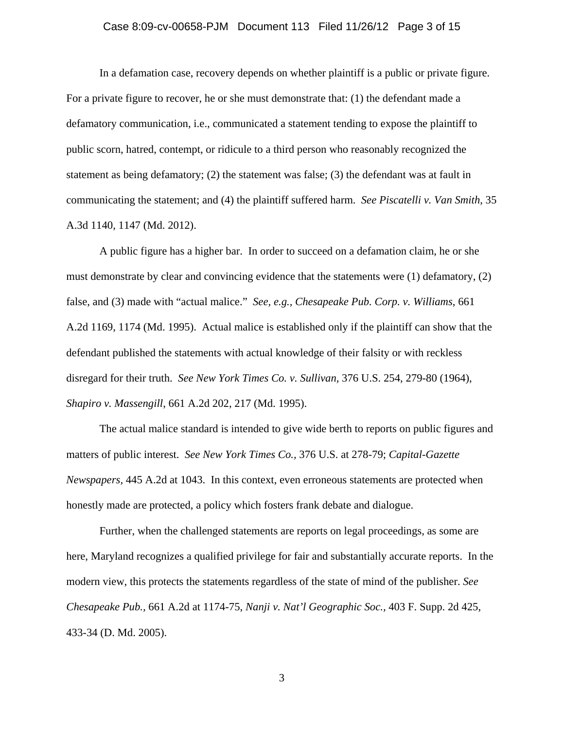### Case 8:09-cv-00658-PJM Document 113 Filed 11/26/12 Page 3 of 15

In a defamation case, recovery depends on whether plaintiff is a public or private figure. For a private figure to recover, he or she must demonstrate that: (1) the defendant made a defamatory communication, i.e., communicated a statement tending to expose the plaintiff to public scorn, hatred, contempt, or ridicule to a third person who reasonably recognized the statement as being defamatory; (2) the statement was false; (3) the defendant was at fault in communicating the statement; and (4) the plaintiff suffered harm. *See Piscatelli v. Van Smith*, 35 A.3d 1140, 1147 (Md. 2012).

A public figure has a higher bar. In order to succeed on a defamation claim, he or she must demonstrate by clear and convincing evidence that the statements were (1) defamatory, (2) false, and (3) made with "actual malice." *See, e.g., Chesapeake Pub. Corp. v. Williams*, 661 A.2d 1169, 1174 (Md. 1995). Actual malice is established only if the plaintiff can show that the defendant published the statements with actual knowledge of their falsity or with reckless disregard for their truth. *See New York Times Co. v. Sullivan,* 376 U.S. 254, 279-80 (1964), *Shapiro v. Massengill*, 661 A.2d 202, 217 (Md. 1995).

The actual malice standard is intended to give wide berth to reports on public figures and matters of public interest. *See New York Times Co.,* 376 U.S. at 278-79; *Capital-Gazette Newspapers,* 445 A.2d at 1043. In this context, even erroneous statements are protected when honestly made are protected, a policy which fosters frank debate and dialogue.

Further, when the challenged statements are reports on legal proceedings, as some are here, Maryland recognizes a qualified privilege for fair and substantially accurate reports. In the modern view, this protects the statements regardless of the state of mind of the publisher. *See Chesapeake Pub.,* 661 A.2d at 1174-75, *Nanji v. Nat'l Geographic Soc.,* 403 F. Supp. 2d 425, 433-34 (D. Md. 2005).

3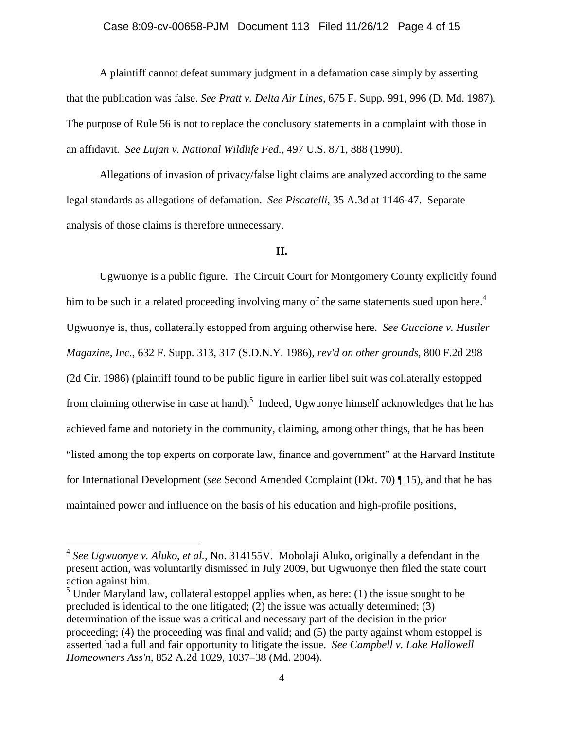## Case 8:09-cv-00658-PJM Document 113 Filed 11/26/12 Page 4 of 15

A plaintiff cannot defeat summary judgment in a defamation case simply by asserting that the publication was false. *See Pratt v. Delta Air Lines,* 675 F. Supp. 991, 996 (D. Md. 1987). The purpose of Rule 56 is not to replace the conclusory statements in a complaint with those in an affidavit. *See Lujan v. National Wildlife Fed.,* 497 U.S. 871, 888 (1990).

Allegations of invasion of privacy/false light claims are analyzed according to the same legal standards as allegations of defamation. *See Piscatelli*, 35 A.3d at 1146-47. Separate analysis of those claims is therefore unnecessary.

### **II.**

Ugwuonye is a public figure. The Circuit Court for Montgomery County explicitly found him to be such in a related proceeding involving many of the same statements sued upon here.<sup>4</sup> Ugwuonye is, thus, collaterally estopped from arguing otherwise here. *See Guccione v. Hustler Magazine, Inc.*, 632 F. Supp. 313, 317 (S.D.N.Y. 1986), *rev'd on other grounds,* 800 F.2d 298 (2d Cir. 1986) (plaintiff found to be public figure in earlier libel suit was collaterally estopped from claiming otherwise in case at hand).<sup>5</sup> Indeed, Ugwuonye himself acknowledges that he has achieved fame and notoriety in the community, claiming, among other things, that he has been "listed among the top experts on corporate law, finance and government" at the Harvard Institute for International Development (*see* Second Amended Complaint (Dkt. 70) ¶ 15), and that he has maintained power and influence on the basis of his education and high-profile positions,

 $\overline{a}$ 

<sup>4</sup> *See Ugwuonye v. Aluko*, *et al.,* No. 314155V. Mobolaji Aluko, originally a defendant in the present action, was voluntarily dismissed in July 2009, but Ugwuonye then filed the state court action against him.

 $<sup>5</sup>$  Under Maryland law, collateral estoppel applies when, as here: (1) the issue sought to be</sup> precluded is identical to the one litigated; (2) the issue was actually determined; (3) determination of the issue was a critical and necessary part of the decision in the prior proceeding; (4) the proceeding was final and valid; and (5) the party against whom estoppel is asserted had a full and fair opportunity to litigate the issue. *See Campbell v. Lake Hallowell Homeowners Ass'n,* 852 A.2d 1029, 1037–38 (Md. 2004).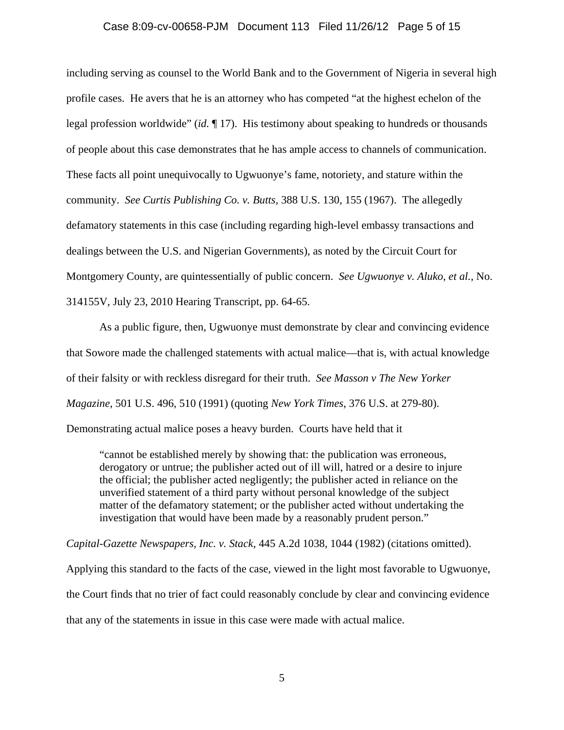## Case 8:09-cv-00658-PJM Document 113 Filed 11/26/12 Page 5 of 15

including serving as counsel to the World Bank and to the Government of Nigeria in several high profile cases. He avers that he is an attorney who has competed "at the highest echelon of the legal profession worldwide" (*id.* ¶ 17). His testimony about speaking to hundreds or thousands of people about this case demonstrates that he has ample access to channels of communication. These facts all point unequivocally to Ugwuonye's fame, notoriety, and stature within the community. *See Curtis Publishing Co. v. Butts,* 388 U.S. 130, 155 (1967). The allegedly defamatory statements in this case (including regarding high-level embassy transactions and dealings between the U.S. and Nigerian Governments), as noted by the Circuit Court for Montgomery County, are quintessentially of public concern. *See Ugwuonye v. Aluko*, *et al.,* No. 314155V, July 23, 2010 Hearing Transcript, pp. 64-65.

 As a public figure, then, Ugwuonye must demonstrate by clear and convincing evidence that Sowore made the challenged statements with actual malice—that is, with actual knowledge of their falsity or with reckless disregard for their truth. *See Masson v The New Yorker Magazine*, 501 U.S. 496, 510 (1991) (quoting *New York Times*, 376 U.S. at 279-80).

Demonstrating actual malice poses a heavy burden. Courts have held that it

"cannot be established merely by showing that: the publication was erroneous, derogatory or untrue; the publisher acted out of ill will, hatred or a desire to injure the official; the publisher acted negligently; the publisher acted in reliance on the unverified statement of a third party without personal knowledge of the subject matter of the defamatory statement; or the publisher acted without undertaking the investigation that would have been made by a reasonably prudent person."

*Capital-Gazette Newspapers, Inc. v. Stack*, 445 A.2d 1038, 1044 (1982) (citations omitted).

Applying this standard to the facts of the case, viewed in the light most favorable to Ugwuonye,

the Court finds that no trier of fact could reasonably conclude by clear and convincing evidence

that any of the statements in issue in this case were made with actual malice.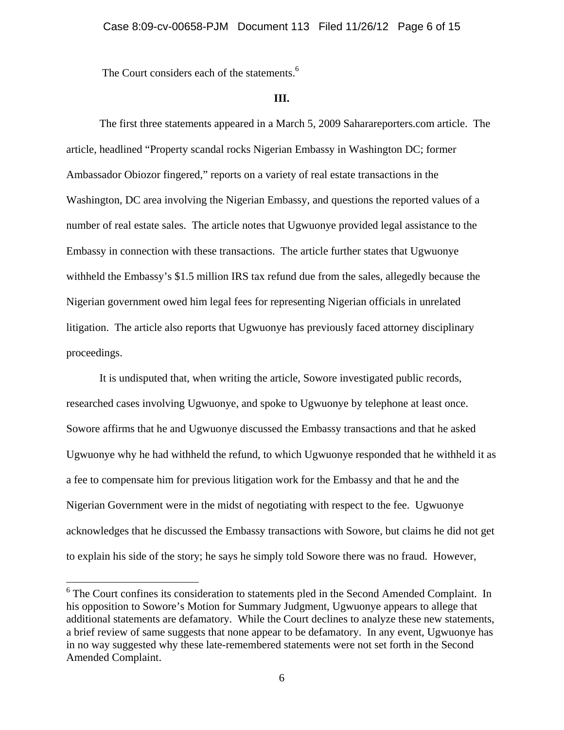The Court considers each of the statements.<sup>6</sup>

#### **III.**

 The first three statements appeared in a March 5, 2009 Saharareporters.com article. The article, headlined "Property scandal rocks Nigerian Embassy in Washington DC; former Ambassador Obiozor fingered," reports on a variety of real estate transactions in the Washington, DC area involving the Nigerian Embassy, and questions the reported values of a number of real estate sales. The article notes that Ugwuonye provided legal assistance to the Embassy in connection with these transactions. The article further states that Ugwuonye withheld the Embassy's \$1.5 million IRS tax refund due from the sales, allegedly because the Nigerian government owed him legal fees for representing Nigerian officials in unrelated litigation. The article also reports that Ugwuonye has previously faced attorney disciplinary proceedings.

It is undisputed that, when writing the article, Sowore investigated public records, researched cases involving Ugwuonye, and spoke to Ugwuonye by telephone at least once. Sowore affirms that he and Ugwuonye discussed the Embassy transactions and that he asked Ugwuonye why he had withheld the refund, to which Ugwuonye responded that he withheld it as a fee to compensate him for previous litigation work for the Embassy and that he and the Nigerian Government were in the midst of negotiating with respect to the fee. Ugwuonye acknowledges that he discussed the Embassy transactions with Sowore, but claims he did not get to explain his side of the story; he says he simply told Sowore there was no fraud. However,

 $\overline{a}$ 

<sup>&</sup>lt;sup>6</sup> The Court confines its consideration to statements pled in the Second Amended Complaint. In his opposition to Sowore's Motion for Summary Judgment, Ugwuonye appears to allege that additional statements are defamatory. While the Court declines to analyze these new statements, a brief review of same suggests that none appear to be defamatory. In any event, Ugwuonye has in no way suggested why these late-remembered statements were not set forth in the Second Amended Complaint.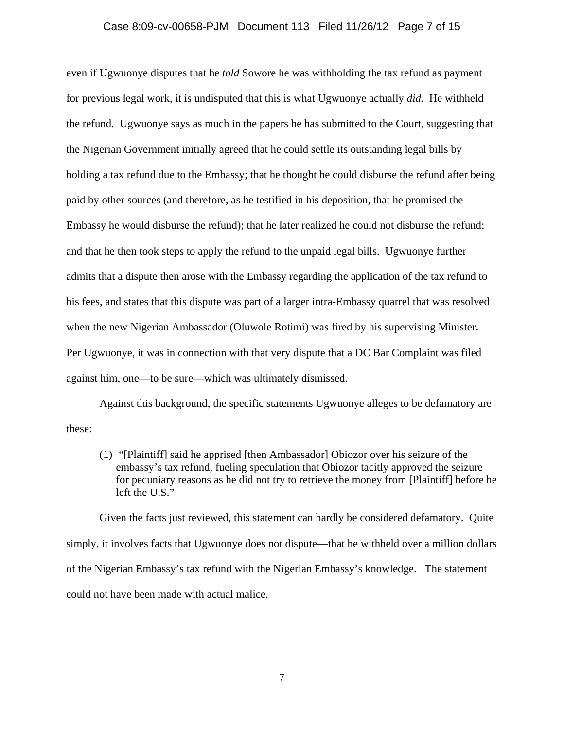## Case 8:09-cv-00658-PJM Document 113 Filed 11/26/12 Page 7 of 15

even if Ugwuonye disputes that he *told* Sowore he was withholding the tax refund as payment for previous legal work, it is undisputed that this is what Ugwuonye actually *did*. He withheld the refund. Ugwuonye says as much in the papers he has submitted to the Court, suggesting that the Nigerian Government initially agreed that he could settle its outstanding legal bills by holding a tax refund due to the Embassy; that he thought he could disburse the refund after being paid by other sources (and therefore, as he testified in his deposition, that he promised the Embassy he would disburse the refund); that he later realized he could not disburse the refund; and that he then took steps to apply the refund to the unpaid legal bills. Ugwuonye further admits that a dispute then arose with the Embassy regarding the application of the tax refund to his fees, and states that this dispute was part of a larger intra-Embassy quarrel that was resolved when the new Nigerian Ambassador (Oluwole Rotimi) was fired by his supervising Minister. Per Ugwuonye, it was in connection with that very dispute that a DC Bar Complaint was filed against him, one—to be sure—which was ultimately dismissed.

Against this background, the specific statements Ugwuonye alleges to be defamatory are these:

(1) "[Plaintiff] said he apprised [then Ambassador] Obiozor over his seizure of the embassy's tax refund, fueling speculation that Obiozor tacitly approved the seizure for pecuniary reasons as he did not try to retrieve the money from [Plaintiff] before he left the U.S."

Given the facts just reviewed, this statement can hardly be considered defamatory. Quite simply, it involves facts that Ugwuonye does not dispute—that he withheld over a million dollars of the Nigerian Embassy's tax refund with the Nigerian Embassy's knowledge. The statement could not have been made with actual malice.

7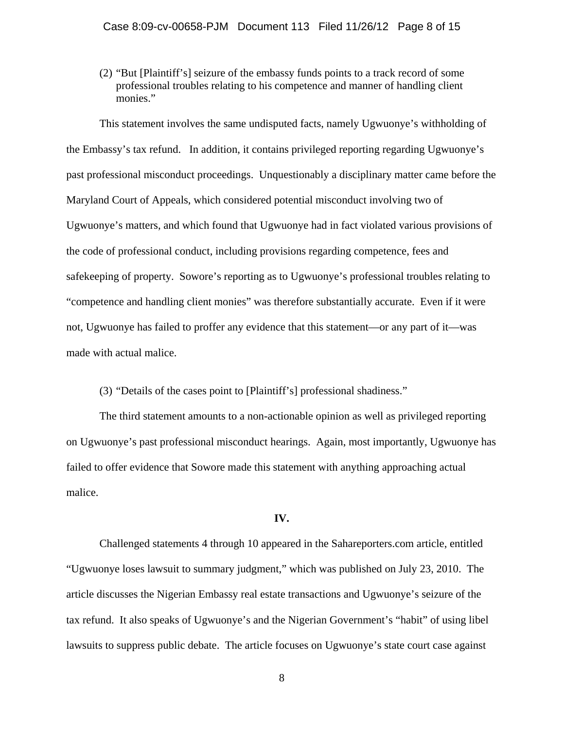(2) "But [Plaintiff's] seizure of the embassy funds points to a track record of some professional troubles relating to his competence and manner of handling client monies."

This statement involves the same undisputed facts, namely Ugwuonye's withholding of the Embassy's tax refund. In addition, it contains privileged reporting regarding Ugwuonye's past professional misconduct proceedings. Unquestionably a disciplinary matter came before the Maryland Court of Appeals, which considered potential misconduct involving two of Ugwuonye's matters, and which found that Ugwuonye had in fact violated various provisions of the code of professional conduct, including provisions regarding competence, fees and safekeeping of property. Sowore's reporting as to Ugwuonye's professional troubles relating to "competence and handling client monies" was therefore substantially accurate. Even if it were not, Ugwuonye has failed to proffer any evidence that this statement—or any part of it—was made with actual malice.

(3) "Details of the cases point to [Plaintiff's] professional shadiness."

The third statement amounts to a non-actionable opinion as well as privileged reporting on Ugwuonye's past professional misconduct hearings. Again, most importantly, Ugwuonye has failed to offer evidence that Sowore made this statement with anything approaching actual malice.

## **IV.**

Challenged statements 4 through 10 appeared in the Sahareporters.com article, entitled "Ugwuonye loses lawsuit to summary judgment," which was published on July 23, 2010. The article discusses the Nigerian Embassy real estate transactions and Ugwuonye's seizure of the tax refund. It also speaks of Ugwuonye's and the Nigerian Government's "habit" of using libel lawsuits to suppress public debate. The article focuses on Ugwuonye's state court case against

8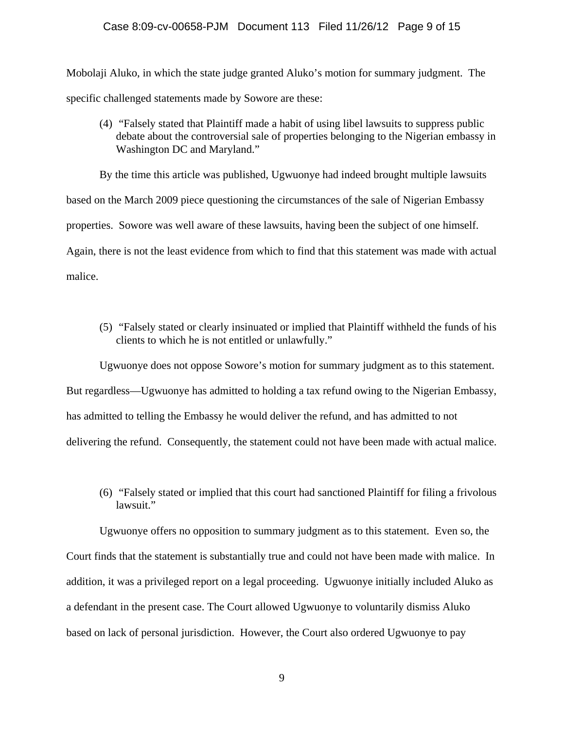#### Case 8:09-cv-00658-PJM Document 113 Filed 11/26/12 Page 9 of 15

Mobolaji Aluko, in which the state judge granted Aluko's motion for summary judgment. The specific challenged statements made by Sowore are these:

(4) "Falsely stated that Plaintiff made a habit of using libel lawsuits to suppress public debate about the controversial sale of properties belonging to the Nigerian embassy in Washington DC and Maryland."

By the time this article was published, Ugwuonye had indeed brought multiple lawsuits based on the March 2009 piece questioning the circumstances of the sale of Nigerian Embassy properties. Sowore was well aware of these lawsuits, having been the subject of one himself. Again, there is not the least evidence from which to find that this statement was made with actual malice.

(5) "Falsely stated or clearly insinuated or implied that Plaintiff withheld the funds of his clients to which he is not entitled or unlawfully."

Ugwuonye does not oppose Sowore's motion for summary judgment as to this statement. But regardless—Ugwuonye has admitted to holding a tax refund owing to the Nigerian Embassy, has admitted to telling the Embassy he would deliver the refund, and has admitted to not delivering the refund. Consequently, the statement could not have been made with actual malice.

(6) "Falsely stated or implied that this court had sanctioned Plaintiff for filing a frivolous lawsuit."

Ugwuonye offers no opposition to summary judgment as to this statement. Even so, the Court finds that the statement is substantially true and could not have been made with malice. In addition, it was a privileged report on a legal proceeding. Ugwuonye initially included Aluko as a defendant in the present case. The Court allowed Ugwuonye to voluntarily dismiss Aluko based on lack of personal jurisdiction. However, the Court also ordered Ugwuonye to pay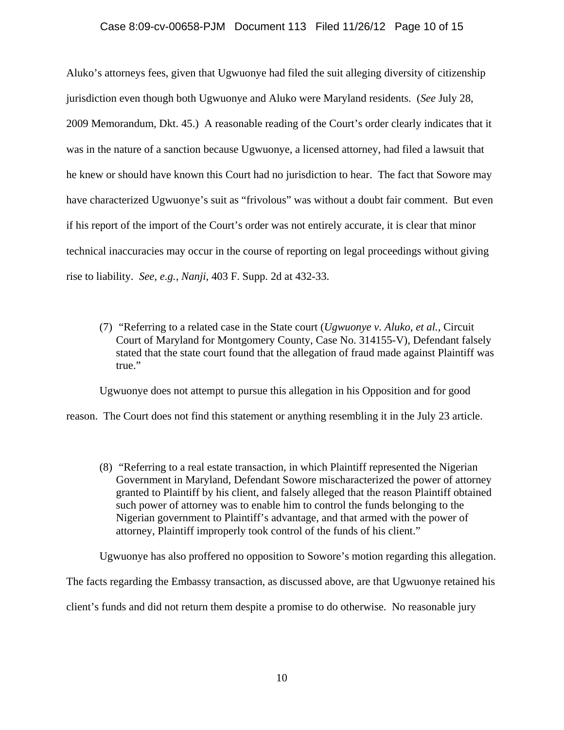#### Case 8:09-cv-00658-PJM Document 113 Filed 11/26/12 Page 10 of 15

Aluko's attorneys fees, given that Ugwuonye had filed the suit alleging diversity of citizenship jurisdiction even though both Ugwuonye and Aluko were Maryland residents. (*See* July 28, 2009 Memorandum, Dkt. 45.) A reasonable reading of the Court's order clearly indicates that it was in the nature of a sanction because Ugwuonye, a licensed attorney, had filed a lawsuit that he knew or should have known this Court had no jurisdiction to hear. The fact that Sowore may have characterized Ugwuonye's suit as "frivolous" was without a doubt fair comment. But even if his report of the import of the Court's order was not entirely accurate, it is clear that minor technical inaccuracies may occur in the course of reporting on legal proceedings without giving rise to liability. *See, e.g., Nanji,* 403 F. Supp. 2d at 432-33.

(7) "Referring to a related case in the State court (*Ugwuonye v. Aluko, et al.*, Circuit Court of Maryland for Montgomery County, Case No. 314155-V), Defendant falsely stated that the state court found that the allegation of fraud made against Plaintiff was true."

Ugwuonye does not attempt to pursue this allegation in his Opposition and for good

reason. The Court does not find this statement or anything resembling it in the July 23 article.

(8) "Referring to a real estate transaction, in which Plaintiff represented the Nigerian Government in Maryland, Defendant Sowore mischaracterized the power of attorney granted to Plaintiff by his client, and falsely alleged that the reason Plaintiff obtained such power of attorney was to enable him to control the funds belonging to the Nigerian government to Plaintiff's advantage, and that armed with the power of attorney, Plaintiff improperly took control of the funds of his client."

Ugwuonye has also proffered no opposition to Sowore's motion regarding this allegation.

The facts regarding the Embassy transaction, as discussed above, are that Ugwuonye retained his

client's funds and did not return them despite a promise to do otherwise. No reasonable jury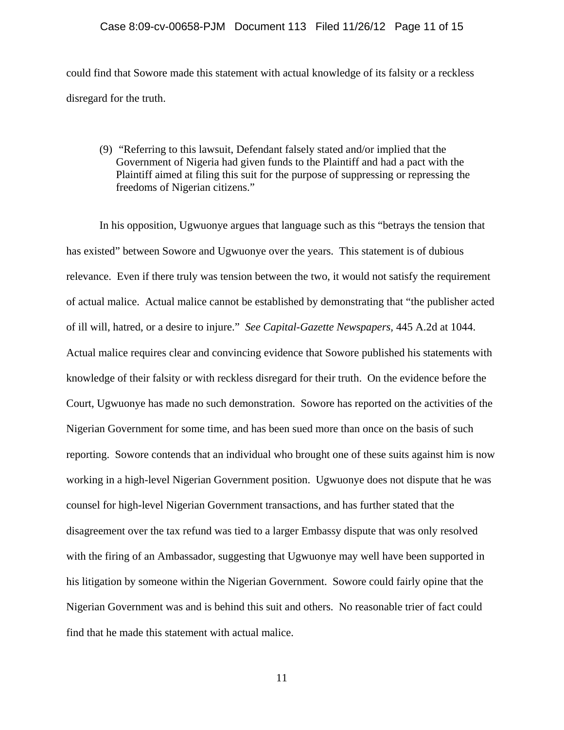#### Case 8:09-cv-00658-PJM Document 113 Filed 11/26/12 Page 11 of 15

could find that Sowore made this statement with actual knowledge of its falsity or a reckless disregard for the truth.

(9) "Referring to this lawsuit, Defendant falsely stated and/or implied that the Government of Nigeria had given funds to the Plaintiff and had a pact with the Plaintiff aimed at filing this suit for the purpose of suppressing or repressing the freedoms of Nigerian citizens."

In his opposition, Ugwuonye argues that language such as this "betrays the tension that has existed" between Sowore and Ugwuonye over the years. This statement is of dubious relevance. Even if there truly was tension between the two, it would not satisfy the requirement of actual malice. Actual malice cannot be established by demonstrating that "the publisher acted of ill will, hatred, or a desire to injure." *See Capital-Gazette Newspapers,* 445 A.2d at 1044. Actual malice requires clear and convincing evidence that Sowore published his statements with knowledge of their falsity or with reckless disregard for their truth. On the evidence before the Court, Ugwuonye has made no such demonstration. Sowore has reported on the activities of the Nigerian Government for some time, and has been sued more than once on the basis of such reporting. Sowore contends that an individual who brought one of these suits against him is now working in a high-level Nigerian Government position. Ugwuonye does not dispute that he was counsel for high-level Nigerian Government transactions, and has further stated that the disagreement over the tax refund was tied to a larger Embassy dispute that was only resolved with the firing of an Ambassador, suggesting that Ugwuonye may well have been supported in his litigation by someone within the Nigerian Government. Sowore could fairly opine that the Nigerian Government was and is behind this suit and others. No reasonable trier of fact could find that he made this statement with actual malice.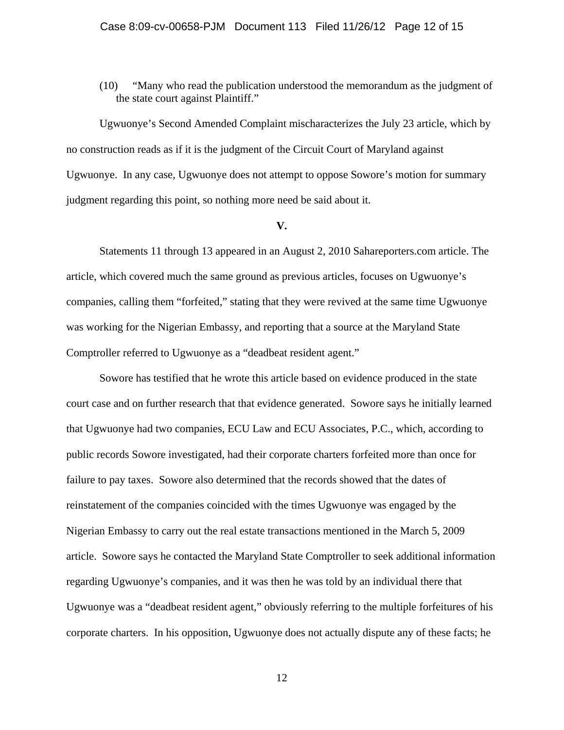(10) "Many who read the publication understood the memorandum as the judgment of the state court against Plaintiff."

Ugwuonye's Second Amended Complaint mischaracterizes the July 23 article, which by no construction reads as if it is the judgment of the Circuit Court of Maryland against Ugwuonye. In any case, Ugwuonye does not attempt to oppose Sowore's motion for summary judgment regarding this point, so nothing more need be said about it.

#### **V.**

Statements 11 through 13 appeared in an August 2, 2010 Sahareporters.com article. The article, which covered much the same ground as previous articles, focuses on Ugwuonye's companies, calling them "forfeited," stating that they were revived at the same time Ugwuonye was working for the Nigerian Embassy, and reporting that a source at the Maryland State Comptroller referred to Ugwuonye as a "deadbeat resident agent."

Sowore has testified that he wrote this article based on evidence produced in the state court case and on further research that that evidence generated. Sowore says he initially learned that Ugwuonye had two companies, ECU Law and ECU Associates, P.C., which, according to public records Sowore investigated, had their corporate charters forfeited more than once for failure to pay taxes. Sowore also determined that the records showed that the dates of reinstatement of the companies coincided with the times Ugwuonye was engaged by the Nigerian Embassy to carry out the real estate transactions mentioned in the March 5, 2009 article. Sowore says he contacted the Maryland State Comptroller to seek additional information regarding Ugwuonye's companies, and it was then he was told by an individual there that Ugwuonye was a "deadbeat resident agent," obviously referring to the multiple forfeitures of his corporate charters. In his opposition, Ugwuonye does not actually dispute any of these facts; he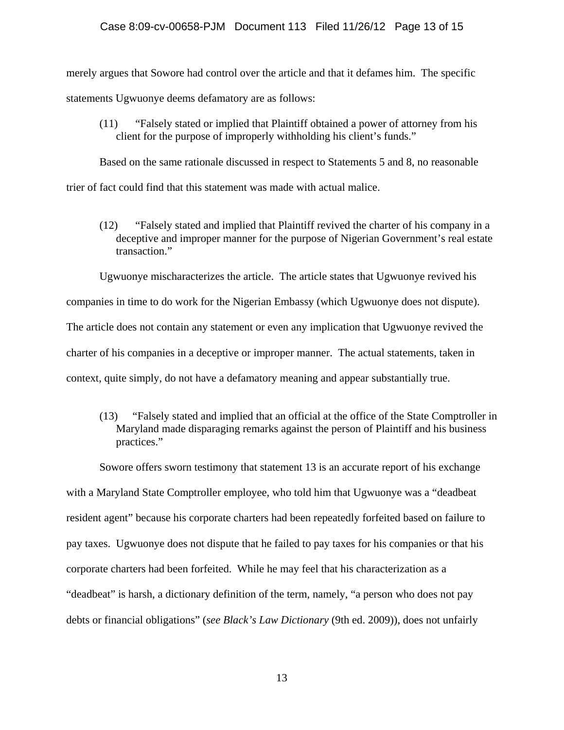#### Case 8:09-cv-00658-PJM Document 113 Filed 11/26/12 Page 13 of 15

merely argues that Sowore had control over the article and that it defames him. The specific statements Ugwuonye deems defamatory are as follows:

(11) "Falsely stated or implied that Plaintiff obtained a power of attorney from his client for the purpose of improperly withholding his client's funds."

Based on the same rationale discussed in respect to Statements 5 and 8, no reasonable trier of fact could find that this statement was made with actual malice.

(12) "Falsely stated and implied that Plaintiff revived the charter of his company in a deceptive and improper manner for the purpose of Nigerian Government's real estate transaction."

Ugwuonye mischaracterizes the article. The article states that Ugwuonye revived his companies in time to do work for the Nigerian Embassy (which Ugwuonye does not dispute). The article does not contain any statement or even any implication that Ugwuonye revived the charter of his companies in a deceptive or improper manner. The actual statements, taken in

context, quite simply, do not have a defamatory meaning and appear substantially true.

(13) "Falsely stated and implied that an official at the office of the State Comptroller in Maryland made disparaging remarks against the person of Plaintiff and his business practices."

Sowore offers sworn testimony that statement 13 is an accurate report of his exchange with a Maryland State Comptroller employee, who told him that Ugwuonye was a "deadbeat resident agent" because his corporate charters had been repeatedly forfeited based on failure to pay taxes. Ugwuonye does not dispute that he failed to pay taxes for his companies or that his corporate charters had been forfeited. While he may feel that his characterization as a "deadbeat" is harsh, a dictionary definition of the term, namely, "a person who does not pay debts or financial obligations" (*see Black's Law Dictionary* (9th ed. 2009)), does not unfairly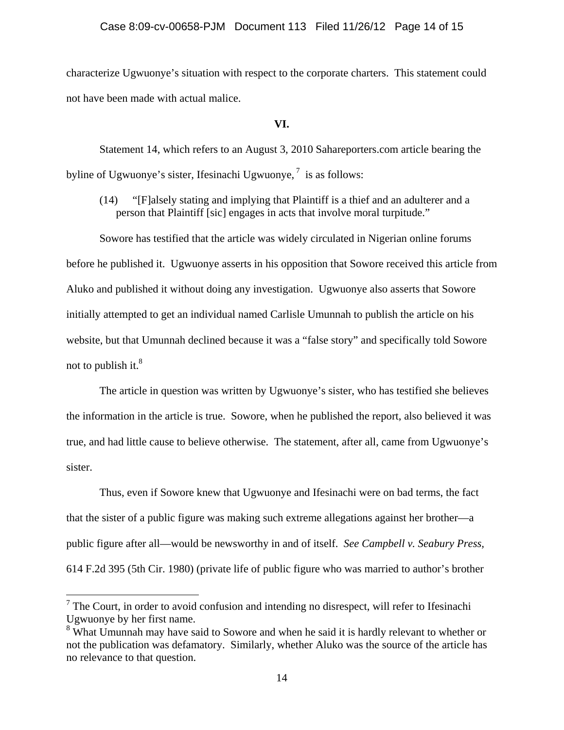characterize Ugwuonye's situation with respect to the corporate charters. This statement could not have been made with actual malice.

 **VI.** 

Statement 14, which refers to an August 3, 2010 Sahareporters.com article bearing the byline of Ugwuonye's sister, Ifesinachi Ugwuonye, $\frac{7}{1}$  is as follows:

(14) "[F]alsely stating and implying that Plaintiff is a thief and an adulterer and a person that Plaintiff [sic] engages in acts that involve moral turpitude."

Sowore has testified that the article was widely circulated in Nigerian online forums before he published it. Ugwuonye asserts in his opposition that Sowore received this article from Aluko and published it without doing any investigation. Ugwuonye also asserts that Sowore initially attempted to get an individual named Carlisle Umunnah to publish the article on his website, but that Umunnah declined because it was a "false story" and specifically told Sowore not to publish it. $8<sup>8</sup>$ 

The article in question was written by Ugwuonye's sister, who has testified she believes the information in the article is true. Sowore, when he published the report, also believed it was true, and had little cause to believe otherwise. The statement, after all, came from Ugwuonye's sister.

Thus, even if Sowore knew that Ugwuonye and Ifesinachi were on bad terms, the fact that the sister of a public figure was making such extreme allegations against her brother—a public figure after all—would be newsworthy in and of itself. *See Campbell v. Seabury Press,*  614 F.2d 395 (5th Cir. 1980) (private life of public figure who was married to author's brother

 $\overline{a}$ 

 $7$  The Court, in order to avoid confusion and intending no disrespect, will refer to Ifesinachi Ugwuonye by her first name.

<sup>&</sup>lt;sup>8</sup> What Umunnah may have said to Sowore and when he said it is hardly relevant to whether or not the publication was defamatory. Similarly, whether Aluko was the source of the article has no relevance to that question.